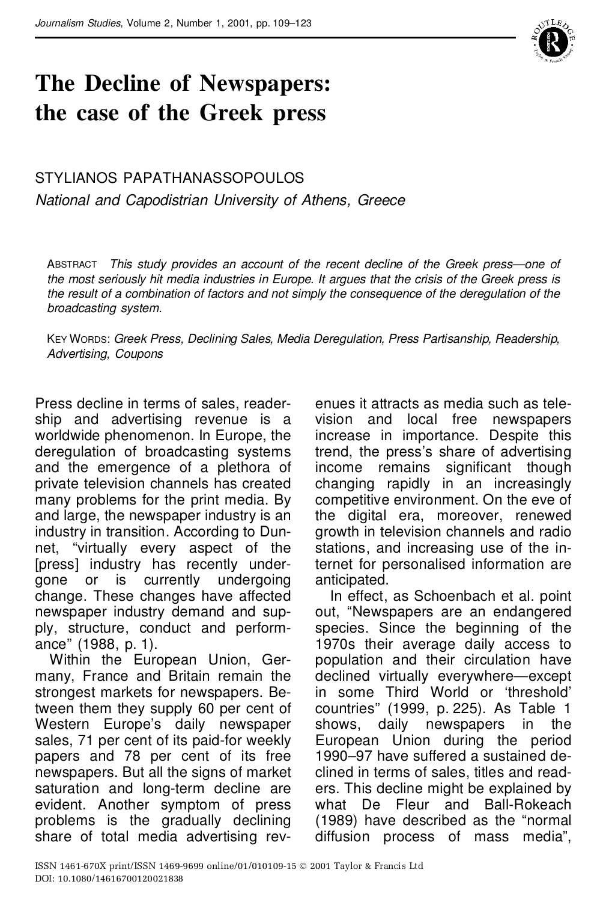

# **The Decline of Newspapers: the case of the Greek press**

STYLIANOS PAPATHANASSOPOULOS *National and Capodistrian University of Athens, Greece*

ABSTRACT *This study provides an account of the recent decline of the Greek press—one of the most seriously hit media industries in Europe. It argues that the crisis of the Greek press is the result of a combination of factors and not simply the consequence of the deregulation of the broadcasting system.*

KEY WORDS: *Greek Press, Declining Sales, Media Deregulation, Press Partisanship, Readership, Advertising, Coupons*

Press decline in terms of sales, reader ship and advertising revenue is a worldwide phenomenon. In Europe, the deregulation of broadcasting systems and the emergence of a plethora of private television channels has created many problems for the print media. By and large, the newspaper industry is an industry in transition. According to Dun net, "virtually every aspect of the [press] industry has recently under gone or is currently undergoing change. These changes have affected newspaper industry demand and sup ply, structure, conduct and perform ance" (1988, p. 1).

Within the European Union, Ger many, France and Britain remain the strongest markets for newspapers. Between them they supply 60 per cent of Western Europe's daily newspaper sales, 71 per cent of its paid-for weekly papers and 78 per cent of its free newspapers. But all the signs of market saturation and long-term decline are evident. Another symptom of press problems is the gradually declining share of total media advertising revenues it attracts as media such as tele vision and local free newspapers increase in importance. Despite this trend, the press's share of advertising income remains significant though changing rapidly in an increasingly competitive environment. On the eve of the digital era, moreover, renewed growth in television channels and radio stations, and increasing use of the internet for personalised information are anticipated.

In effect, as Schoenbach et al. point out, "Newspapers are an endangered species. Since the beginning of the 1970s their average daily access to population and their circulation have declined virtually everywhere—except in some Third World or 'threshold' countries" (1999, p. 225). As Table 1 shows, daily newspapers in the European Union during the period 1990–97 have suffered a sustained de clined in terms of sales, titles and read ers. This decline might be explained by what De Fleur and Ball-Rokeach (1989) have described as the "normal diffusion process of mass media",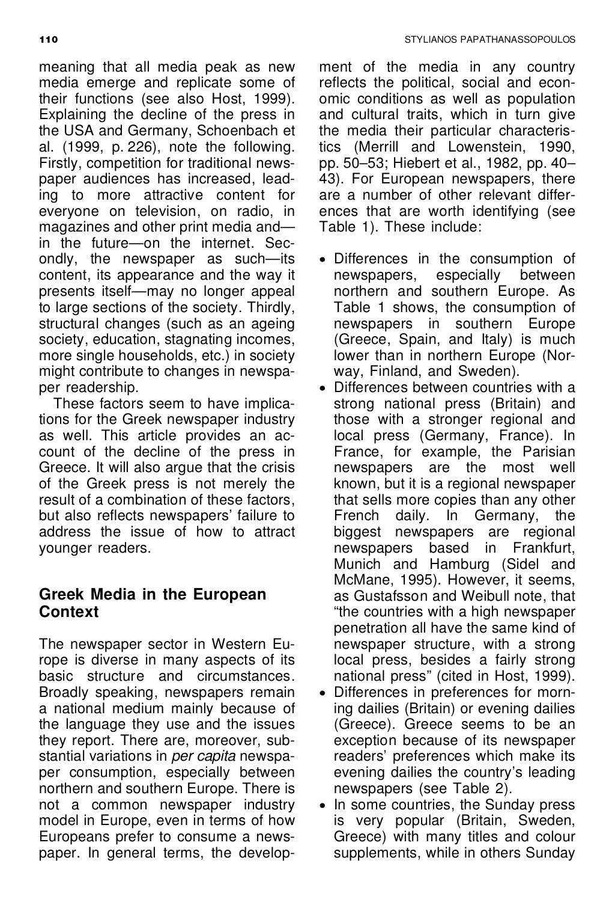meaning that all media peak as new media emerge and replicate some of their functions (see also Host, 1999). Explaining the decline of the press in the USA and Germany, Schoenbach et al. (1999, p. 226), note the following. Firstly, competition for traditional news paper audiences has increased, leading to more attractive content for everyone on television, on radio, in magazines and other print media and in the future—on the internet. Sec ondly, the newspaper as such—its content, its appearance and the way it presents itself—may no longer appeal to large sections of the society. Thirdly, structural changes (such as an ageing society, education, stagnating incomes, more single households, etc.) in society might contribute to changes in newspa per readership.

These factors seem to have implications for the Greek newspaper industry as well. This article provides an ac count of the decline of the press in Greece. It will also argue that the crisis of the Greek press is not merely the result of a combination of these factors, but also reflects newspapers' failure to address the issue of how to attract younger readers.

#### **Greek Media in the European Context**

The newspaper sector in Western Europe is diverse in many aspects of its basic structure and circumstances. Broadly speaking, newspapers remain a national medium mainly because of the language they use and the issues they report. There are, moreover, sub stantial variations in *per capita* newspaper consumption, especially between northern and southern Europe. There is not a common newspaper industry model in Europe, even in terms of how Europeans prefer to consume a news paper. In general terms, the development of the media in any country reflects the political, social and economic conditions as well as population and cultural traits, which in turn give the media their particular characteristics (Merrill and Lowenstein, 1990, pp. 50–53; Hiebert et al., 1982, pp. 40– 43). For European newspapers, there are a number of other relevant differ ences that are worth identifying (see Table 1). These include:

- · Differences in the consumption of newspapers, especially between northern and southern Europe. As Table 1 shows, the consumption of newspapers in southern Europe (Greece, Spain, and Italy) is much lower than in northern Europe (Nor way, Finland, and Sweden).
- · Differences between countries with a strong national press (Britain) and those with a stronger regional and local press (Germany, France). In France, for example, the Parisian newspapers are the most well known, but it is a regional newspaper that sells more copies than any other French daily. In Germany, the biggest newspapers are regional newspapers based in Frankfurt, Munich and Hamburg (Sidel and McMane, 1995). However, it seems, as Gustafsson and Weibull note, that "the countries with a high newspaper penetration all have the same kind of newspaper structure, with a strong local press, besides a fairly strong national press" (cited in Host, 1999).
- · Differences in preferences for morning dailies (Britain) or evening dailies (Greece). Greece seems to be an exception because of its newspaper readers' preferences which make its evening dailies the country's leading newspapers (see Table 2).
- In some countries, the Sunday press is very popular (Britain, Sweden, Greece) with many titles and colour supplements, while in others Sunday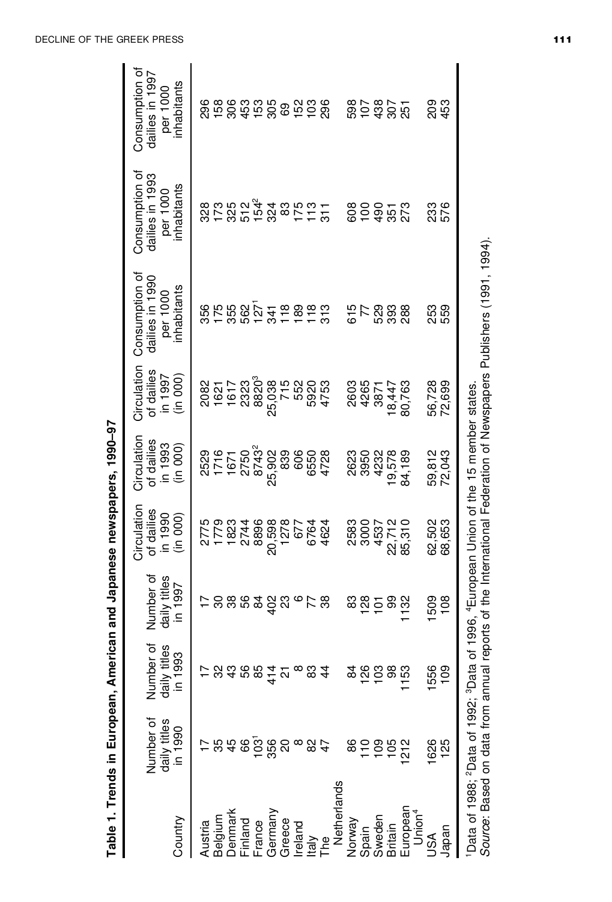|                                | Table 1. Trends in European, American and Japanese newspapers, 1990-97                          |                                      |                                                              |                                                  |                                                  |                                                  |                                                                                |                                                              |                                                              |
|--------------------------------|-------------------------------------------------------------------------------------------------|--------------------------------------|--------------------------------------------------------------|--------------------------------------------------|--------------------------------------------------|--------------------------------------------------|--------------------------------------------------------------------------------|--------------------------------------------------------------|--------------------------------------------------------------|
| Country                        | Number of<br>daily titles<br>in 1990                                                            | Number of<br>daily titles<br>in 1993 | Number of<br>daily titles<br>in 1997                         | Circulation<br>of dailies<br>in 1990<br>(in 000) | Circulation<br>of dailies<br>in 1993<br>(in 000) | Circulation<br>of dailies<br>in 1997<br>(in 000) | Consumption of<br>dailies in 1990<br>inhabitants<br>per 1000                   | Consumption of<br>dailles in 1993<br>inhabitants<br>per 1000 | Consumption of<br>dailies in 1997<br>inhabitants<br>per 1000 |
| Austria                        |                                                                                                 |                                      |                                                              | 2775                                             | 2529                                             |                                                  | 356                                                                            | 328                                                          | 296                                                          |
|                                | 35                                                                                              |                                      |                                                              |                                                  |                                                  |                                                  |                                                                                |                                                              |                                                              |
| <b>Denmark</b><br>Belgium      | 45                                                                                              | 3<br>3 4 5 8<br>3 4 5 8              | 88                                                           | 1779<br>1823                                     | 1716<br>1671                                     | 2082<br>1621<br>1617                             | <b>175</b><br>355                                                              | 78524<br>78524<br>7857                                       | 58885886588                                                  |
| Finland                        | 66                                                                                              |                                      |                                                              | 2744                                             |                                                  | 2323                                             |                                                                                |                                                              |                                                              |
| France                         | $103$ <sup>1</sup>                                                                              |                                      | 584                                                          | 8896                                             | 2750<br>8743 <sup>2</sup>                        | 8820 <sup>3</sup>                                | 562<br>1271                                                                    |                                                              |                                                              |
| Germany                        | 356                                                                                             | 414                                  |                                                              | 20,598                                           | 25,902                                           | 25,038                                           |                                                                                | 324                                                          |                                                              |
| Greece                         | 20                                                                                              | $\overline{\Omega}$                  | a<br>Sa e L is                                               | 1278                                             | 839                                              |                                                  | $378888$<br>$78888$                                                            | $80777$<br>$7797$                                            |                                                              |
| Ireland                        | $\infty$                                                                                        | $\infty$                             |                                                              | 677                                              |                                                  | 715<br>552                                       |                                                                                |                                                              |                                                              |
| taly                           | $\frac{8}{4}$                                                                                   | $\frac{4}{3}$                        |                                                              | 6764<br>4624                                     | 606<br>6550<br>4728                              |                                                  |                                                                                |                                                              |                                                              |
| eq<br>P                        |                                                                                                 |                                      |                                                              |                                                  |                                                  | 5920<br>4753                                     |                                                                                |                                                              |                                                              |
| Netherlands                    |                                                                                                 |                                      |                                                              |                                                  |                                                  |                                                  |                                                                                |                                                              |                                                              |
| Norway                         | 88                                                                                              | $\frac{8}{4}$                        |                                                              | 2583                                             | 2623                                             |                                                  |                                                                                |                                                              |                                                              |
|                                | 110                                                                                             | $\frac{126}{103}$                    | 83<br>128                                                    | 3000                                             | 3950                                             |                                                  | 825<br>275                                                                     |                                                              |                                                              |
| Spain<br>Sweden                | 109                                                                                             |                                      | $\frac{5}{1}$                                                | 4537                                             | 4232                                             | 2603<br>4265<br>3871                             |                                                                                | 8000528                                                      | 8078055<br>8078055                                           |
| <b>Britain</b>                 | 105                                                                                             | $\frac{8}{2}$                        | 8                                                            |                                                  | 19,578                                           | 18,447                                           |                                                                                |                                                              |                                                              |
| European<br>Union <sup>4</sup> | 212                                                                                             | <b>153</b>                           | 1132                                                         | 22,712<br>85,310                                 | 84,189                                           | 80,763                                           | 393<br>288                                                                     |                                                              |                                                              |
| SA                             | 1626                                                                                            | 1556                                 | 1509                                                         | 62,502                                           | 59,812                                           |                                                  | 253                                                                            |                                                              | 209                                                          |
| lapan                          | 125                                                                                             | 109                                  | 108                                                          | 68,653                                           | 72,043                                           | 56,728<br>72,699                                 | 559                                                                            | 233<br>576                                                   | 453                                                          |
|                                | Data of 1988; <sup>2</sup> Data of 1992; <sup>3</sup> Data<br>Source: Based on data from annual |                                      | of 1996, <sup>4</sup> European Union of the 15 member states |                                                  |                                                  |                                                  | reports of the International Federation of Newspapers Publishers (1991, 1994). |                                                              |                                                              |
|                                |                                                                                                 |                                      |                                                              |                                                  |                                                  |                                                  |                                                                                |                                                              |                                                              |

Table 1. Trends in European, American and Japanese newspapers, 1990-97

 $S = \begin{bmatrix} 1 & 1 & 1 \\ 1 & 1 & 1 \end{bmatrix}$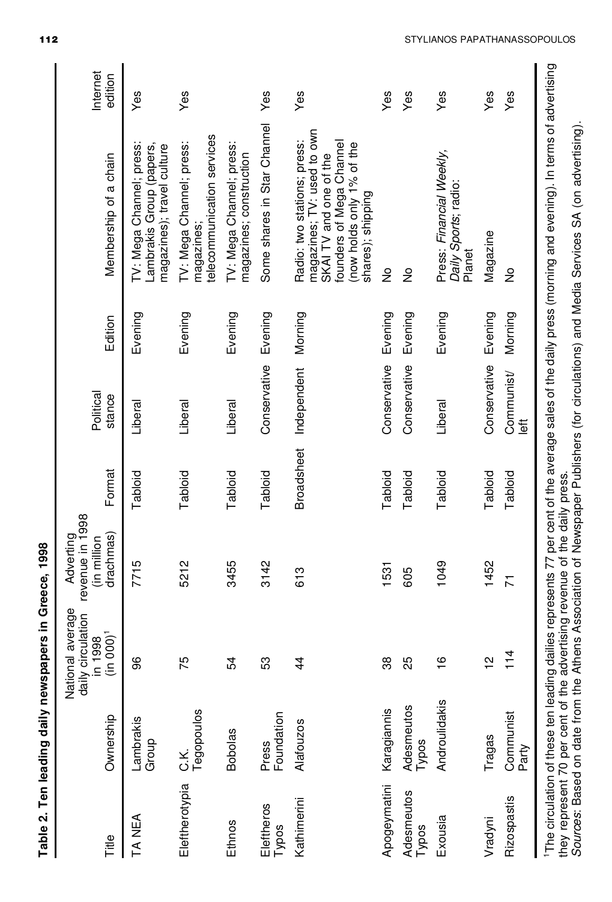|                     |                     | Table 2. Ten leading daily newspapers in Greece, 1998                     |                                             |                   |                  |         |                                                                                                                                                                                                                                                                                                     |          |
|---------------------|---------------------|---------------------------------------------------------------------------|---------------------------------------------|-------------------|------------------|---------|-----------------------------------------------------------------------------------------------------------------------------------------------------------------------------------------------------------------------------------------------------------------------------------------------------|----------|
|                     |                     | National average<br>daily circulation                                     | revenue in 1998<br>Adverting<br>(in million |                   | Political        |         |                                                                                                                                                                                                                                                                                                     | Internet |
| Title               | Ownership           | $\frac{1}{2}$ (in 1998) <sup>1</sup>                                      | drachmas)                                   | Format            | stance           | Edition | Membership of a chain                                                                                                                                                                                                                                                                               | edition  |
| TA NEA              | Lambrakis<br>Group  | 96                                                                        | 7715                                        | Tabloid           | Liberal          | Evening | Lambrakis Group (papers,<br>TV: Mega Channel; press:<br>magazines); travel culture                                                                                                                                                                                                                  | Yes      |
| Eleftherotypia      | C.K.<br>Tegopoulos  | 75                                                                        | 5212                                        | Tabloid           | Liberal          | Evening | telecommunication services<br>IV: Mega Channel; press:<br>magazines;                                                                                                                                                                                                                                | Yes      |
| Ethnos              | <b>Bobolas</b>      | 54                                                                        | 3455                                        | Tabloid           | Liberal          | Evening | TV: Mega Channel; press:<br>magazines; construction                                                                                                                                                                                                                                                 |          |
| Eleftheros<br>Typos | Foundation<br>Press | 53                                                                        | 3142                                        | Tabloid           | Conservative     | Evening | Some shares in Star Channel                                                                                                                                                                                                                                                                         | Yes      |
| Kathimerini         | <b>Alafouzos</b>    | $\frac{4}{4}$                                                             | 613                                         | <b>Broadsheet</b> | Independent      | Morning | magazines; TV: used to own<br>Radio: two stations; press:<br>founders of Mega Channel<br>(now holds only 1% of the<br>SKAI TV and one of the<br>shares); shipping                                                                                                                                   | Yes      |
| Apogeymatini        | Karagiannis         | 88                                                                        | 1531                                        | Tabloid           | Conservative     | Evening | ž                                                                                                                                                                                                                                                                                                   | Yes      |
| Adesmeutos<br>Typos | Adesmeutos<br>Typos | 25                                                                        | 605                                         | Tabloid           | Conservative     | Evening | $\frac{1}{2}$                                                                                                                                                                                                                                                                                       | Yes      |
| Exousia             | Androulidakis       | $\frac{6}{1}$                                                             | 1049                                        | Tabloid           | Liberal          | Evening | Press: Financial Weekly,<br>Daily Sports; radio:<br>Planet                                                                                                                                                                                                                                          | Yes      |
| Vradyni             | Tragas              | $\frac{2}{1}$                                                             | 1452                                        | Tabloid           | Conservative     | Evening | Magazine                                                                                                                                                                                                                                                                                            | Yes      |
| Rizospastis         | Communist<br>Party  | 114                                                                       | $\overline{K}$                              | Tabloid           | Communist/<br>ti | Morning | $\frac{1}{2}$                                                                                                                                                                                                                                                                                       | Yes      |
|                     |                     | they represent 70 per cent of the advertising revenue of the daily press. |                                             |                   |                  |         | The circulation of these ten leading dailies represents 77 per cent of the average sales of the daily press (morning and evening). In terms of advertising<br>Sources: Based on date from the Athens Association of Newspaper Publishers (for circulations) and Media Services SA (on advertising). |          |

Table 2. Ten leading daily newspapers in Greece, 1998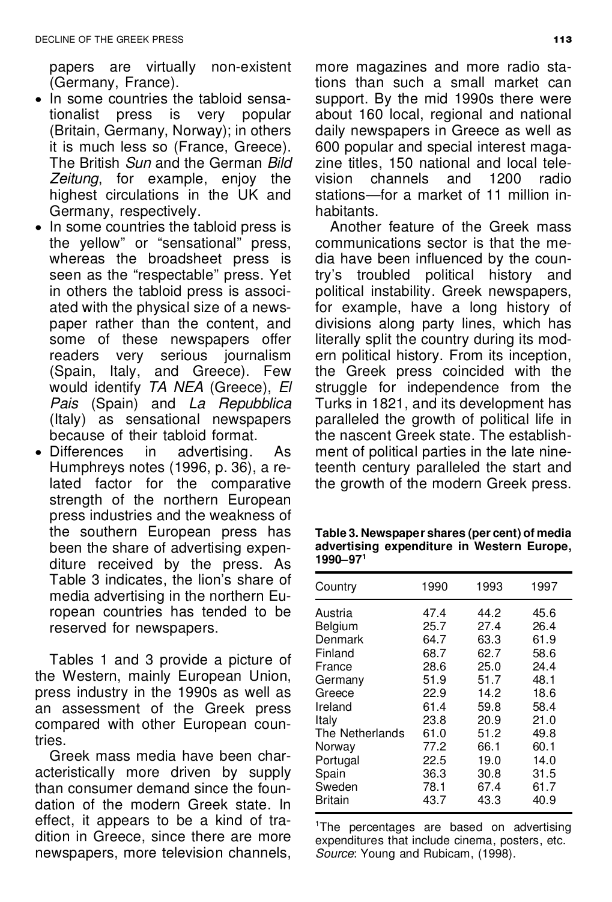papers are virtually non-existent (Germany, France).

- · In some countries the tabloid sensationalist press is very popular (Britain, Germany, Norway); in others it is much less so (France, Greece). The British *Sun* and the German *Bild Zeitung*, for example, enjoy the highest circulations in the UK and Germany, respectively.
- · In some countries the tabloid press is the yellow" or "sensational" press, whereas the broadsheet press is seen as the "respectable" press. Yet in others the tabloid press is associ ated with the physical size of a news paper rather than the content, and some of these newspapers offer readers very serious journalism (Spain, Italy, and Greece). Few would identify *TA NEA* (Greece), *El Pais* (Spain) and *La Repubblica* (Italy) as sensational newspapers because of their tabloid format.<br>Differences in advertising.
- · Differences in advertising. As Humphreys notes (1996, p. 36), a related factor for the comparative strength of the northern European press industries and the weakness of the southern European press has been the share of advertising expen diture received by the press. As Table 3 indicates, the lion's share of media advertising in the northern European countries has tended to be reserved for newspapers.

Tables 1 and 3 provide a picture of the Western, mainly European Union, press industry in the 1990s as well as an assessment of the Greek press compared with other European countries.

Greek mass media have been char acteristically more driven by supply than consumer demand since the foun dation of the modern Greek state. In effect, it appears to be a kind of tra dition in Greece, since there are more newspapers, more television channels, more magazines and more radio stations than such a small market can support. By the mid 1990s there were about 160 local, regional and national daily newspapers in Greece as well as 600 popular and special interest maga zine titles, 150 national and local teleand 1200 radio stations—for a market of 11 million in habitants.

Another feature of the Greek mass communications sector is that the me dia have been influenced by the country's troubled political history and political instability. Greek newspapers, for example, have a long history of divisions along party lines, which has literally split the country during its mod ern political history. From its inception, the Greek press coincided with the struggle for independence from the Turks in 1821, and its development has paralleled the growth of political life in the nascent Greek state. The establish ment of political parties in the late nineteenth century paralleled the start and the growth of the modern Greek press.

**Table 3. Newspaper shares (per cent) of media advertising expenditure in Western Europe, 1990–97<sup>1</sup>**

| Country         | 1990 | 1993 | 1997 |
|-----------------|------|------|------|
| Austria         | 47.4 | 44.2 | 45.6 |
| <b>Belgium</b>  | 25.7 | 27.4 | 26.4 |
| Denmark         | 64.7 | 63.3 | 61.9 |
| Finland         | 68.7 | 62.7 | 58.6 |
| France          | 28.6 | 25.0 | 24.4 |
| Germany         | 51.9 | 51.7 | 48.1 |
| Greece          | 22.9 | 14.2 | 18.6 |
| Ireland         | 61.4 | 59.8 | 58.4 |
| Italy           | 23.8 | 20.9 | 21.0 |
| The Netherlands | 61.0 | 51.2 | 49.8 |
| Norway          | 77.2 | 66.1 | 60.1 |
| Portugal        | 22.5 | 19.0 | 14.0 |
| Spain           | 36.3 | 30.8 | 31.5 |
| Sweden          | 78.1 | 67.4 | 61.7 |
| <b>Britain</b>  | 43.7 | 43.3 | 40.9 |

<sup>1</sup>The percentages are based on advertising expenditures that include cinema, posters, etc. *Source*: Young and Rubicam, (1998).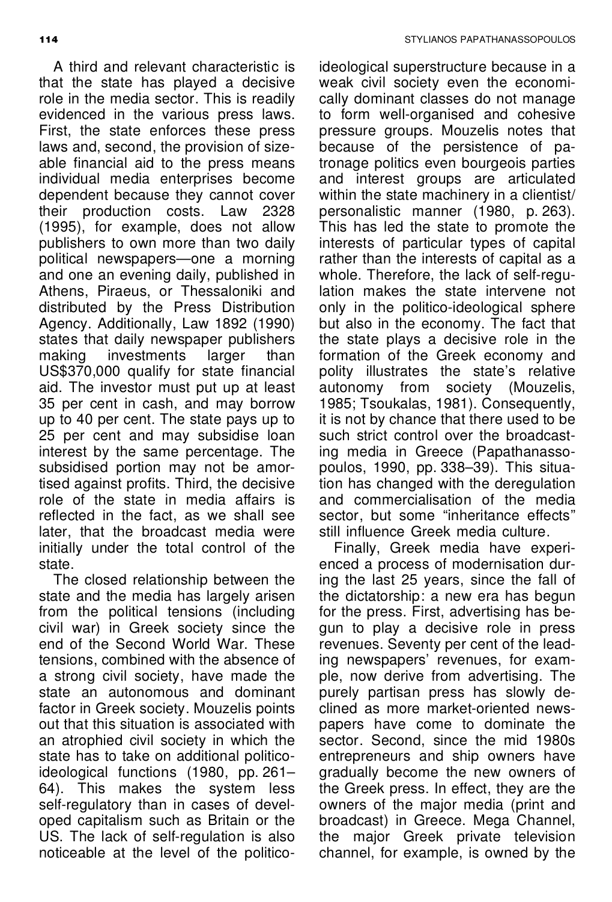A third and relevant characteristic is that the state has played a decisive role in the media sector. This is readily evidenced in the various press laws. First, the state enforces these press laws and, second, the provision of size able financial aid to the press means individual media enterprises become dependent because they cannot cover their production costs. Law 2328 (1995), for example, does not allow publishers to own more than two daily political newspapers—one a morning and one an evening daily, published in Athens, Piraeus, or Thessaloniki and distributed by the Press Distribution Agency. Additionally, Law 1892 (1990) states that daily newspaper publishers making investments larger than US\$370,000 qualify for state financial aid. The investor must put up at least 35 per cent in cash, and may borrow up to 40 per cent. The state pays up to 25 per cent and may subsidise loan interest by the same percentage. The subsidised portion may not be amortised against profits. Third, the decisive role of the state in media affairs is reflected in the fact, as we shall see later, that the broadcast media were initially under the total control of the state.

The closed relationship between the state and the media has largely arisen from the political tensions (including civil war) in Greek society since the end of the Second World War. These tensions, combined with the absence of a strong civil society, have made the state an autonomous and dominant factor in Greek society. Mouzelis points out that this situation is associated with an atrophied civil society in which the state has to take on additional politicoideological functions (1980, pp. 261– 64). This makes the system less self-regulatory than in cases of devel oped capitalism such as Britain or the US. The lack of self-regulation is also noticeable at the level of the politicoideological superstructure because in a weak civil society even the economi cally dominant classes do not manage to form well-organised and cohesive pressure groups. Mouzelis notes that because of the persistence of patronage politics even bourgeois parties and interest groups are articulated within the state machinery in a clientist/ personalistic manner (1980, p. 263). This has led the state to promote the interests of particular types of capital rather than the interests of capital as a whole. Therefore, the lack of self-regulation makes the state intervene not only in the politico-ideological sphere but also in the economy. The fact that the state plays a decisive role in the formation of the Greek economy and polity illustrates the state's relative autonomy from society (Mouzelis, 1985; Tsoukalas, 1981). Consequently, it is not by chance that there used to be such strict control over the broadcasting media in Greece (Papathanasso poulos, 1990, pp. 338–39). This situation has changed with the deregulation and commercialisation of the media sector, but some "inheritance effects" still influence Greek media culture.

Finally, Greek media have experi enced a process of modernisation during the last 25 years, since the fall of the dictatorship: a new era has begun for the press. First, advertising has be gun to play a decisive role in press revenues. Seventy per cent of the leading newspapers' revenues, for exam ple, now derive from advertising. The purely partisan press has slowly de clined as more market-oriented news papers have come to dominate the sector. Second, since the mid 1980s entrepreneurs and ship owners have gradually become the new owners of the Greek press. In effect, they are the owners of the major media (print and broadcast) in Greece. Mega Channel, the major Greek private television channel, for example, is owned by the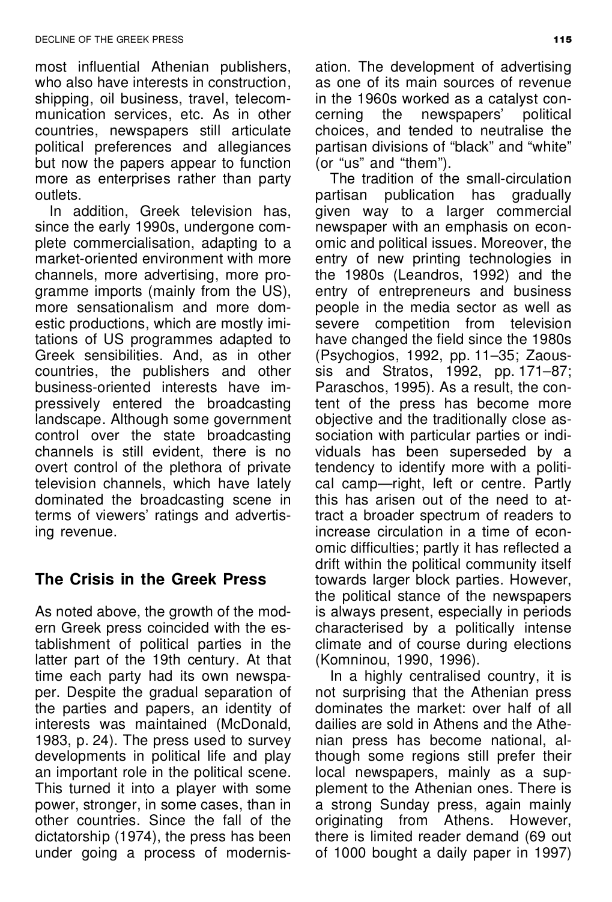most influential Athenian publishers, who also have interests in construction, shipping, oil business, travel, telecom munication services, etc. As in other countries, newspapers still articulate political preferences and allegiances but now the papers appear to function more as enterprises rather than party outlets.

In addition, Greek television has, since the early 1990s, undergone com plete commercialisation, adapting to a market-oriented environment with more channels, more advertising, more pro gramme imports (mainly from the US), more sensationalism and more dom estic productions, which are mostly imitations of US programmes adapted to Greek sensibilities. And, as in other countries, the publishers and other business-oriented interests have im pressively entered the broadcasting landscape. Although some government control over the state broadcasting channels is still evident, there is no overt control of the plethora of private television channels, which have lately dominated the broadcasting scene in terms of viewers' ratings and advertising revenue.

## **The Crisis in the Greek Press**

As noted above, the growth of the mod ern Greek press coincided with the establishment of political parties in the latter part of the 19th century. At that time each party had its own newspa per. Despite the gradual separation of the parties and papers, an identity of interests was maintained (McDonald, 1983, p. 24). The press used to survey developments in political life and play an important role in the political scene. This turned it into a player with some power, stronger, in some cases, than in other countries. Since the fall of the dictatorship (1974), the press has been under going a process of modernisation. The development of advertising as one of its main sources of revenue in the 1960s worked as a catalyst con cerning the newspapers' political choices, and tended to neutralise the partisan divisions of "black" and "white" (or "us" and "them").

The tradition of the small-circulation partisan publication has gradually given way to a larger commercial newspaper with an emphasis on econ omic and political issues. Moreover, the entry of new printing technologies in the 1980s (Leandros, 1992) and the entry of entrepreneurs and business people in the media sector as well as severe competition from television have changed the field since the 1980s (Psychogios, 1992, pp. 11–35; Zaous sis and Stratos, 1992, pp. 171–87; Paraschos, 1995). As a result, the content of the press has become more objective and the traditionally close as sociation with particular parties or indi viduals has been superseded by a tendency to identify more with a politi cal camp—right, left or centre. Partly this has arisen out of the need to attract a broader spectrum of readers to increase circulation in a time of econ omic difficulties; partly it has reflected a drift within the political community itself towards larger block parties. However, the political stance of the newspapers is always present, especially in periods characterised by a politically intense climate and of course during elections (Komninou, 1990, 1996).

In a highly centralised country, it is not surprising that the Athenian press dominates the market: over half of all dailies are sold in Athens and the Athe nian press has become national, although some regions still prefer their local newspapers, mainly as a sup plement to the Athenian ones. There is a strong Sunday press, again mainly originating from Athens. However, there is limited reader demand (69 out of 1000 bought a daily paper in 1997)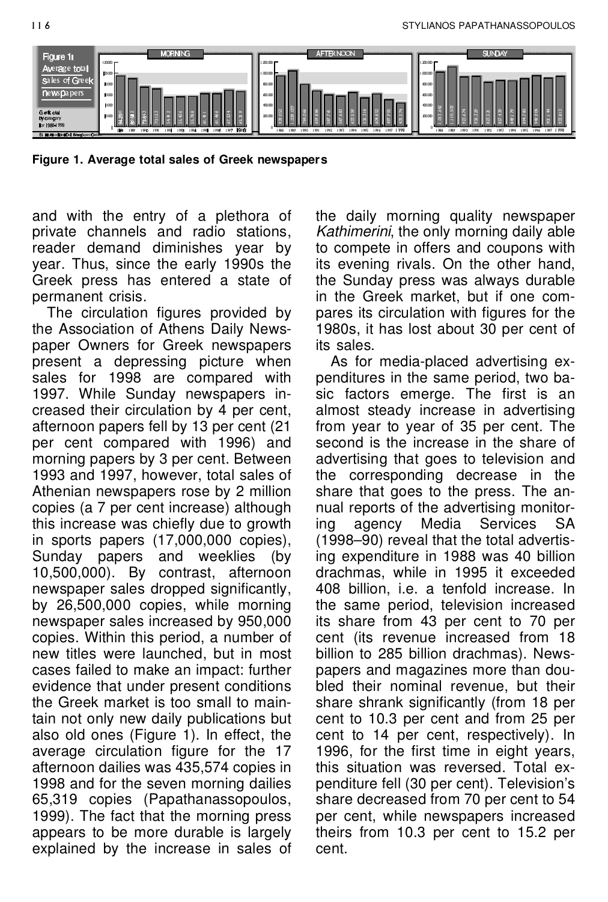

**Figure 1. Average total sales of Greek newspapers**

and with the entry of a plethora of private channels and radio stations, reader demand diminishes year by year. Thus, since the early 1990s the Greek press has entered a state of permanent crisis.

The circulation figures provided by the Association of Athens Daily News paper Owners for Greek newspapers present a depressing picture when sales for 1998 are compared with 1997. While Sunday newspapers in creased their circulation by 4 per cent, afternoon papers fell by 13 per cent (21 per cent compared with 1996) and morning papers by 3 per cent. Between 1993 and 1997, however, total sales of Athenian newspapers rose by 2 million copies (a 7 per cent increase) although this increase was chiefly due to growth ing in sports papers (17,000,000 copies), Sunday papers and weeklies (by 10,500,000). By contrast, afternoon newspaper sales dropped significantly, by 26,500,000 copies, while morning newspaper sales increased by 950,000 copies. Within this period, a number of new titles were launched, but in most cases failed to make an impact: further evidence that under present conditions the Greek market is too small to maintain not only new daily publications but also old ones (Figure 1). In effect, the average circulation figure for the 17 afternoon dailies was 435,574 copies in 1998 and for the seven morning dailies 65,319 copies (Papathanassopoulos, 1999). The fact that the morning press appears to be more durable is largely explained by the increase in sales of

the daily morning quality newspaper *Kathimerini*, the only morning daily able to compete in offers and coupons with its evening rivals. On the other hand, the Sunday press was always durable in the Greek market, but if one com pares its circulation with figures for the 1980s, it has lost about 30 per cent of its sales.

As for media-placed advertising ex penditures in the same period, two ba sic factors emerge. The first is an almost steady increase in advertising from year to year of 35 per cent. The second is the increase in the share of advertising that goes to television and the corresponding decrease in the share that goes to the press. The an nual reports of the advertising monitoragency Media Services SA (1998–90) reveal that the total advertising expenditure in 1988 was 40 billion drachmas, while in 1995 it exceeded 408 billion, i.e. a tenfold increase. In the same period, television increased its share from 43 per cent to 70 per cent (its revenue increased from 18 billion to 285 billion drachmas). News papers and magazines more than dou bled their nominal revenue, but their share shrank significantly (from 18 per cent to 10.3 per cent and from 25 per cent to 14 per cent, respectively). In 1996, for the first time in eight years, this situation was reversed. Total ex penditure fell (30 per cent). Television's share decreased from 70 per cent to 54 per cent, while newspapers increased theirs from 10.3 per cent to 15.2 per cent.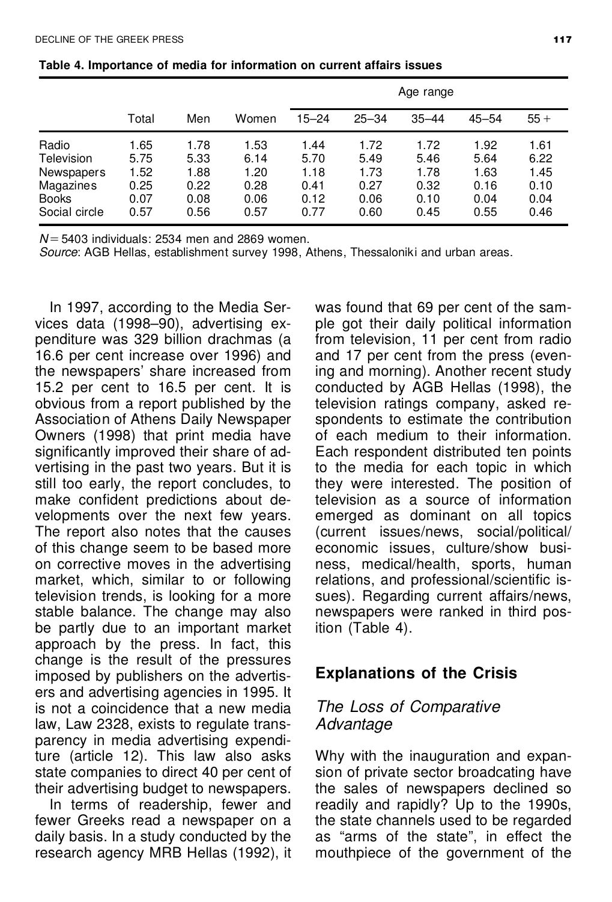|                                                                                 |                                              |                                              |                                              |                                              |                                              | Age range                                    |                                              |                                              |
|---------------------------------------------------------------------------------|----------------------------------------------|----------------------------------------------|----------------------------------------------|----------------------------------------------|----------------------------------------------|----------------------------------------------|----------------------------------------------|----------------------------------------------|
|                                                                                 | Total                                        | Men                                          | Women                                        | $15 - 24$                                    | $25 - 34$                                    | $35 - 44$                                    | $45 - 54$                                    | $55 +$                                       |
| Radio<br>Television<br>Newspapers<br>Magazines<br><b>Books</b><br>Social circle | 1.65<br>5.75<br>1.52<br>0.25<br>0.07<br>0.57 | 1.78<br>5.33<br>1.88<br>0.22<br>0.08<br>0.56 | 1.53<br>6.14<br>1.20<br>0.28<br>0.06<br>0.57 | 1.44<br>5.70<br>1.18<br>0.41<br>0.12<br>0.77 | 1.72<br>5.49<br>1.73<br>0.27<br>0.06<br>0.60 | 1.72<br>5.46<br>1.78<br>0.32<br>0.10<br>0.45 | 1.92<br>5.64<br>1.63<br>0.16<br>0.04<br>0.55 | 1.61<br>6.22<br>1.45<br>0.10<br>0.04<br>0.46 |

**Table 4. Importance of media for information on current affairs issues**

 $N = 5403$  individuals: 2534 men and 2869 women.

*Source*: AGB Hellas, establishment survey 1998, Athens, Thessaloniki and urban areas.

In 1997, according to the Media Ser vices data (1998–90), advertising ex penditure was 329 billion drachmas (a 16.6 per cent increase over 1996) and the newspapers' share increased from 15.2 per cent to 16.5 per cent. It is obvious from a report published by the Association of Athens Daily Newspaper Owners (1998) that print media have significantly improved their share of advertising in the past two years. But it is still too early, the report concludes, to make confident predictions about developments over the next few years. The report also notes that the causes of this change seem to be based more on corrective moves in the advertising market, which, similar to or following television trends, is looking for a more stable balance. The change may also be partly due to an important market approach by the press. In fact, this change is the result of the pressures imposed by publishers on the advertis ers and advertising agencies in 1995. It is not a coincidence that a new media law, Law 2328, exists to regulate trans parency in media advertising expenditure (article 12). This law also asks state companies to direct 40 per cent of their advertising budget to newspapers.

In terms of readership, fewer and fewer Greeks read a newspaper on a daily basis. In a study conducted by the research agency MRB Hellas (1992), it was found that 69 per cent of the sam ple got their daily political information from television, 11 per cent from radio and 17 per cent from the press (evening and morning). Another recent study conducted by AGB Hellas (1998), the television ratings company, asked re spondents to estimate the contribution of each medium to their information. Each respondent distributed ten points to the media for each topic in which they were interested. The position of television as a source of information emerged as dominant on all topics (current issues/news, social/political/ economic issues, culture/show busi ness, medical/health, sports, human relations, and professional/scientific issues). Regarding current affairs/news, newspapers were ranked in third position (Table 4).

## **Explanations of the Crisis**

#### *The Loss of Comparative Advantage*

Why with the inauguration and expan sion of private sector broadcating have the sales of newspapers declined so readily and rapidly? Up to the 1990s, the state channels used to be regarded as "arms of the state", in effect the mouthpiece of the government of the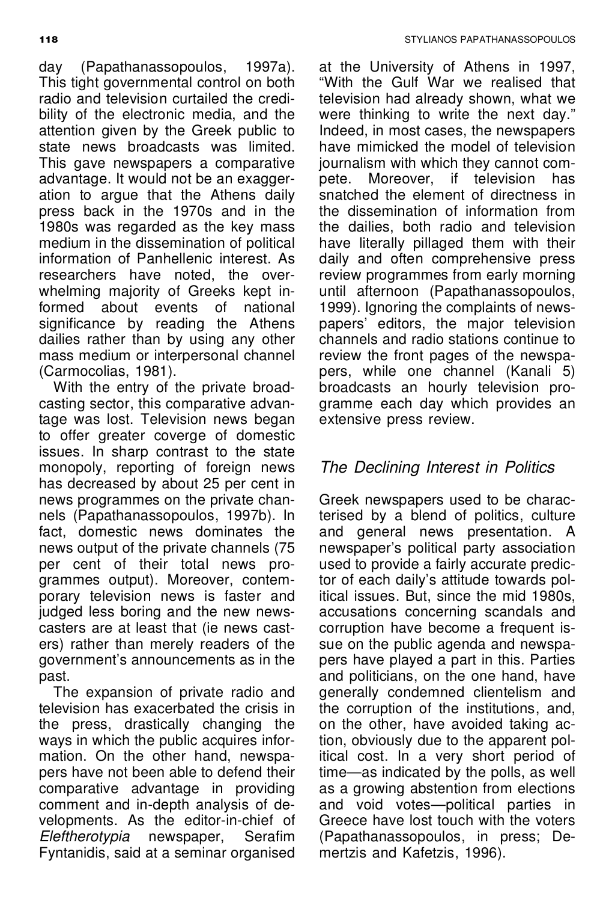day (Papathanassopoulos, 1997a). This tight governmental control on both radio and television curtailed the credi bility of the electronic media, and the attention given by the Greek public to state news broadcasts was limited. This gave newspapers a comparative advantage. It would not be an exagger ation to argue that the Athens daily press back in the 1970s and in the 1980s was regarded as the key mass medium in the dissemination of political information of Panhellenic interest. As researchers have noted, the over whelming majority of Greeks kept informed about events of national significance by reading the Athens dailies rather than by using any other mass medium or interpersonal channel (Carmocolias, 1981).

With the entry of the private broad casting sector, this comparative advantage was lost. Television news began to offer greater coverge of domestic issues. In sharp contrast to the state monopoly, reporting of foreign news has decreased by about 25 per cent in news programmes on the private chan nels (Papathanassopoulos, 1997b). In fact, domestic news dominates the news output of the private channels (75 per cent of their total news pro grammes output). Moreover, contem porary television news is faster and judged less boring and the new news casters are at least that (ie news cast ers) rather than merely readers of the government's announcements as in the past.

The expansion of private radio and television has exacerbated the crisis in the press, drastically changing the ways in which the public acquires infor mation. On the other hand, newspa pers have not been able to defend their comparative advantage in providing comment and in-depth analysis of de velopments. As the editor-in-chief of *Eleftherotypia* newspaper, Serafim Fyntanidis, said at a seminar organised at the University of Athens in 1997, "With the Gulf War we realised that television had already shown, what we were thinking to write the next day." Indeed, in most cases, the newspapers have mimicked the model of television iournalism with which they cannot compete. Moreover, if television has snatched the element of directness in the dissemination of information from the dailies, both radio and television have literally pillaged them with their daily and often comprehensive press review programmes from early morning until afternoon (Papathanassopoulos, 1999). Ignoring the complaints of news papers' editors, the major television channels and radio stations continue to review the front pages of the newspa pers, while one channel (Kanali 5) broadcasts an hourly television pro gramme each day which provides an extensive press review.

## *The Declining Interest in Politics*

Greek newspapers used to be characterised by a blend of politics, culture and general news presentation. A newspaper's political party association used to provide a fairly accurate predictor of each daily's attitude towards political issues. But, since the mid 1980s, accusations concerning scandals and corruption have become a frequent is sue on the public agenda and newspa pers have played a part in this. Parties and politicians, on the one hand, have generally condemned clientelism and the corruption of the institutions, and, on the other, have avoided taking action, obviously due to the apparent political cost. In a very short period of time—as indicated by the polls, as well as a growing abstention from elections and void votes—political parties in Greece have lost touch with the voters (Papathanassopoulos, in press; De mertzis and Kafetzis, 1996).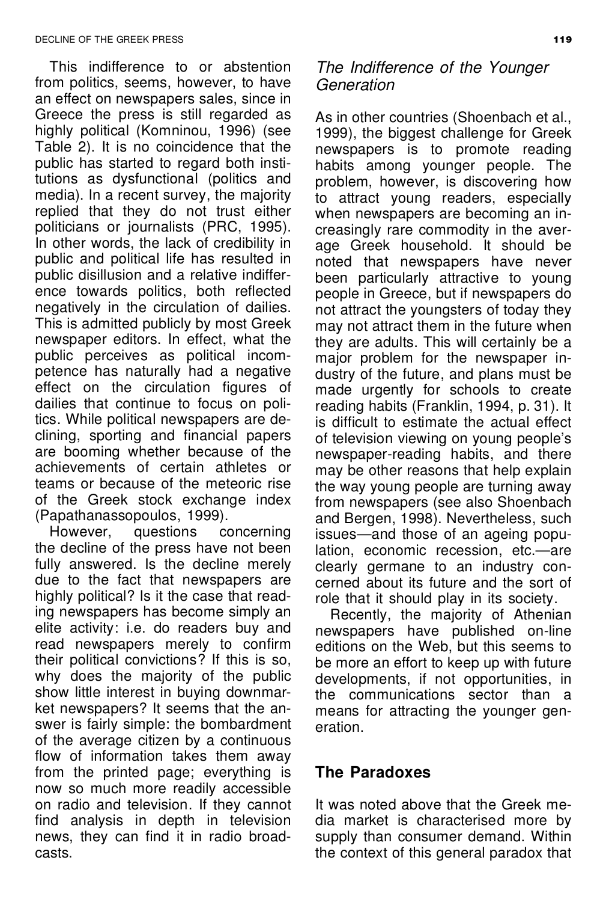This indifference to or abstention from politics, seems, however, to have an effect on newspapers sales, since in Greece the press is still regarded as highly political (Komninou, 1996) (see Table 2). It is no coincidence that the public has started to regard both institutions as dysfunctional (politics and media). In a recent survey, the majority replied that they do not trust either politicians or journalists (PRC, 1995). In other words, the lack of credibility in public and political life has resulted in public disillusion and a relative indiffer ence towards politics, both reflected negatively in the circulation of dailies. This is admitted publicly by most Greek newspaper editors. In effect, what the public perceives as political incom petence has naturally had a negative effect on the circulation figures of dailies that continue to focus on politics. While political newspapers are de clining, sporting and financial papers are booming whether because of the achievements of certain athletes or teams or because of the meteoric rise of the Greek stock exchange index (Papathanassopoulos, 1999).

However, questions concerning the decline of the press have not been fully answered. Is the decline merely due to the fact that newspapers are highly political? Is it the case that reading newspapers has become simply an elite activity: i.e. do readers buy and read newspapers merely to confirm their political convictions? If this is so, why does the majority of the public show little interest in buying downmar ket newspapers? It seems that the answer is fairly simple: the bombardment of the average citizen by a continuous flow of information takes them away from the printed page; everything is now so much more readily accessible on radio and television. If they cannot find analysis in depth in television news, they can find it in radio broadcasts.

#### *The Indifference of the Younger Generation*

As in other countries (Shoenbach et al., 1999), the biggest challenge for Greek newspapers is to promote reading habits among younger people. The problem, however, is discovering how to attract young readers, especially when newspapers are becoming an in creasingly rare commodity in the aver age Greek household. It should be noted that newspapers have never been particularly attractive to young people in Greece, but if newspapers do not attract the youngsters of today they may not attract them in the future when they are adults. This will certainly be a major problem for the newspaper in dustry of the future, and plans must be made urgently for schools to create reading habits (Franklin, 1994, p. 31). It is difficult to estimate the actual effect of television viewing on young people's newspaper-reading habits, and there may be other reasons that help explain the way young people are turning away from newspapers (see also Shoenbach and Bergen, 1998). Nevertheless, such issues—and those of an ageing population, economic recession, etc.—are clearly germane to an industry con cerned about its future and the sort of role that it should play in its society.

Recently, the majority of Athenian newspapers have published on-line editions on the Web, but this seems to be more an effort to keep up with future developments, if not opportunities, in the communications sector than a means for attracting the younger gen eration.

## **The Paradoxes**

It was noted above that the Greek me dia market is characterised more by supply than consumer demand. Within the context of this general paradox that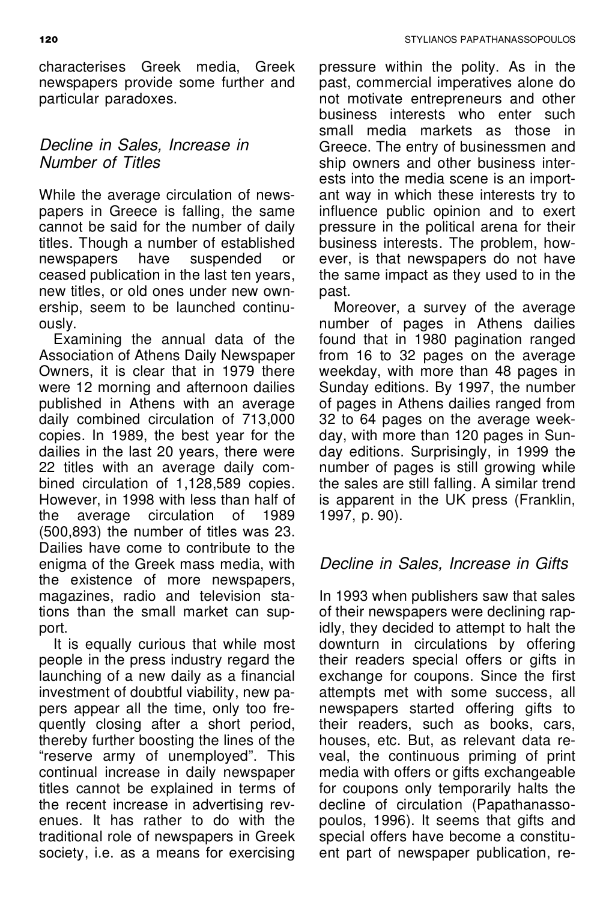characterises Greek media, Greek newspapers provide some further and particular paradoxes.

#### *Decline in Sales, Increase in Number of Titles*

While the average circulation of news papers in Greece is falling, the same cannot be said for the number of daily titles. Though a number of established<br>newspapers have suspended or newspapers have suspended or ceased publication in the last ten years, new titles, or old ones under new own ership, seem to be launched continu ously.

Examining the annual data of the Association of Athens Daily Newspaper Owners, it is clear that in 1979 there were 12 morning and afternoon dailies published in Athens with an average daily combined circulation of 713,000 copies. In 1989, the best year for the dailies in the last 20 years, there were 22 titles with an average daily com bined circulation of 1,128,589 copies. However, in 1998 with less than half of the average circulation of 1989 (500,893) the number of titles was 23. Dailies have come to contribute to the enigma of the Greek mass media, with the existence of more newspapers, magazines, radio and television stations than the small market can sup port.

It is equally curious that while most people in the press industry regard the launching of a new daily as a financial investment of doubtful viability, new pa pers appear all the time, only too fre quently closing after a short period, thereby further boosting the lines of the "reserve army of unemployed". This continual increase in daily newspaper titles cannot be explained in terms of the recent increase in advertising rev enues. It has rather to do with the traditional role of newspapers in Greek society, i.e. as a means for exercising pressure within the polity. As in the past, commercial imperatives alone do not motivate entrepreneurs and other business interests who enter such small media markets as those in Greece. The entry of businessmen and ship owners and other business inter ests into the media scene is an import ant way in which these interests try to influence public opinion and to exert pressure in the political arena for their business interests. The problem, how ever, is that newspapers do not have the same impact as they used to in the past.

Moreover, a survey of the average number of pages in Athens dailies found that in 1980 pagination ranged from 16 to 32 pages on the average weekday, with more than 48 pages in Sunday editions. By 1997, the number of pages in Athens dailies ranged from 32 to 64 pages on the average week day, with more than 120 pages in Sun day editions. Surprisingly, in 1999 the number of pages is still growing while the sales are still falling. A similar trend is apparent in the UK press (Franklin, 1997, p. 90).

## *Decline in Sales, Increase in Gifts*

In 1993 when publishers saw that sales of their newspapers were declining rapidly, they decided to attempt to halt the downturn in circulations by offering their readers special offers or gifts in exchange for coupons. Since the first attempts met with some success, all newspapers started offering gifts to their readers, such as books, cars, houses, etc. But, as relevant data re veal, the continuous priming of print media with offers or gifts exchangeable for coupons only temporarily halts the decline of circulation (Papathanasso poulos, 1996). It seems that gifts and special offers have become a constitu ent part of newspaper publication, re-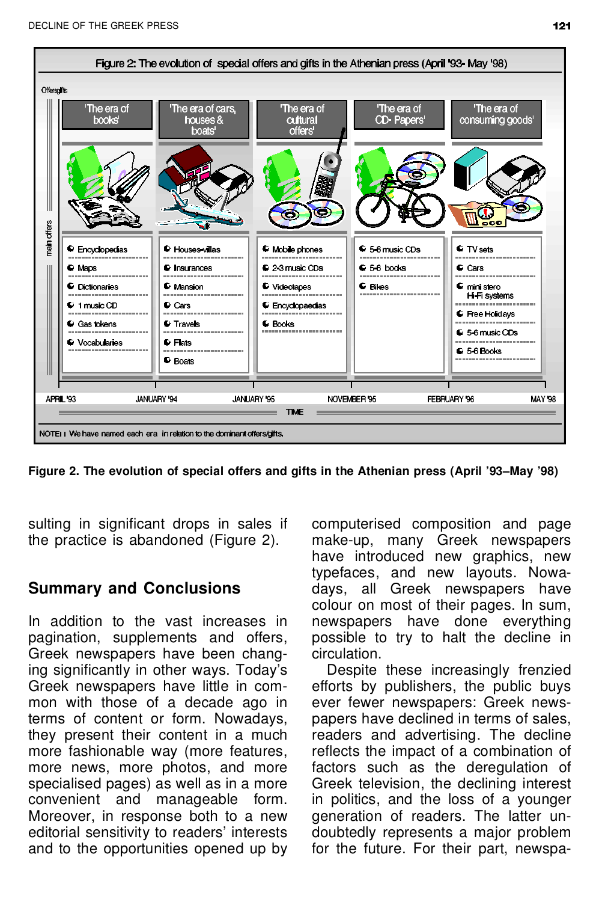

**Figure 2. The evolution of special offers and gifts in the Athenian press (April '93–May '98)**

sulting in significant drops in sales if the practice is abandoned (Figure 2).

### **Summary and Conclusions**

In addition to the vast increases in newspapers pagination, supplements and offers, Greek newspapers have been changing significantly in other ways. Today's Greek newspapers have little in com mon with those of a decade ago in terms of content or form. Nowadays, they present their content in a much more fashionable way (more features, more news, more photos, and more specialised pages) as well as in a more convenient and manageable form. Moreover, in response both to a new editorial sensitivity to readers' interests and to the opportunities opened up by

computerised composition and page make-up, many Greek newspapers have introduced new graphics, new typefaces, and new layouts. Nowa days, all Greek newspapers have colour on most of their pages. In sum, have done everything possible to try to halt the decline in circulation.

Despite these increasingly frenzied efforts by publishers, the public buys ever fewer newspapers: Greek news papers have declined in terms of sales, readers and advertising. The decline reflects the impact of a combination of factors such as the deregulation of Greek television, the declining interest in politics, and the loss of a younger generation of readers. The latter un doubtedly represents a major problem for the future. For their part, newspa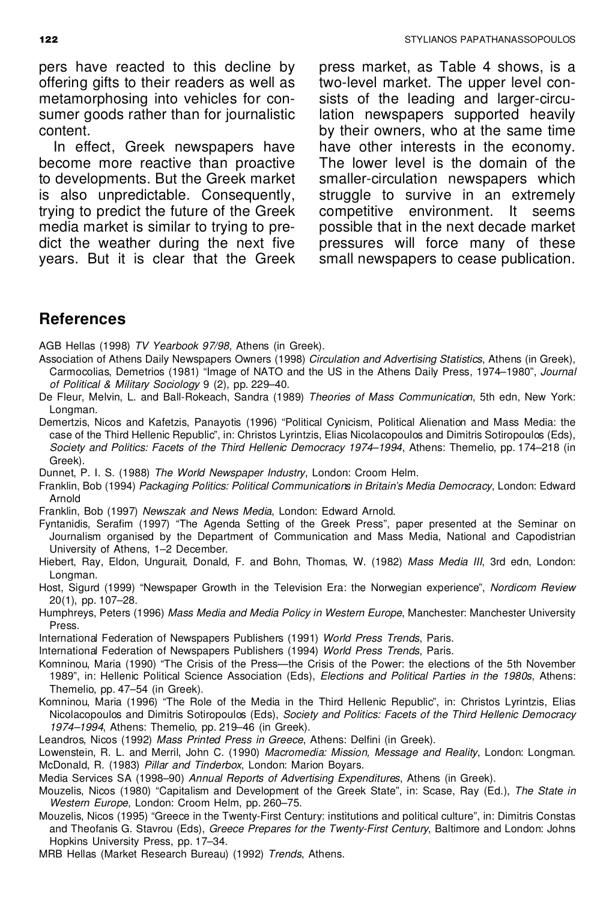pers have reacted to this decline by offering gifts to their readers as well as metamorphosing into vehicles for con sumer goods rather than for journalistic content.

In effect, Greek newspapers have become more reactive than proactive to developments. But the Greek market is also unpredictable. Consequently, trying to predict the future of the Greek media market is similar to trying to pre dict the weather during the next five years. But it is clear that the Greek press market, as Table 4 shows, is a two-level market. The upper level con sists of the leading and larger-circulation newspapers supported heavily by their owners, who at the same time have other interests in the economy. The lower level is the domain of the smaller-circulation newspapers which struggle to survive in an extremely competitive environment. It seems possible that in the next decade market pressures will force many of these small newspapers to cease publication.

#### **References**

AGB Hellas (1998) *TV Yearbook 97/98*, Athens (in Greek).

- Association of Athens Daily Newspapers Owners (1998) *Circulation and Advertising Statistics*, Athens (in Greek), Carmocolias, Demetrios (1981) "Image of NATO and the US in the Athens Daily Press, 1974–1980", *Journal of Political & Military Sociology* 9 (2), pp. 229–40.
- De Fleur, Melvin, L. and Ball-Rokeach, Sandra (1989) *Theories of Mass Communication*, 5th edn, New York: Longman.
- Demertzis, Nicos and Kafetzis, Panayotis (1996) "Political Cynicism, Political Alienation and Mass Media: the case of the Third Hellenic Republic", in: Christos Lyrintzis, Elias Nicolacopoulos and Dimitris Sotiropoulos (Eds), *Society and Politics: Facets of the Third Hellenic Democracy 1974–1994*, Athens: Themelio, pp. 174–218 (in Greek).
- Dunnet, P. I. S. (1988) *The World Newspaper Industry*, London: Croom Helm.
- Franklin, Bob (1994) *Packaging Politics: Political Communications in Britain's Media Democracy*, London: Edward Arnold
- Franklin, Bob (1997) *Newszak and News Media*, London: Edward Arnold.
- Fyntanidis, Serafim (1997) "The Agenda Setting of the Greek Press", paper presented at the Seminar on Journalism organised by the Department of Communication and Mass Media, National and Capodistrian University of Athens, 1–2 December.
- Hiebert, Ray, Eldon, Ungurait, Donald, F. and Bohn, Thomas, W. (1982) *Mass Media III*, 3rd edn, London: Longman.
- Host, Sigurd (1999) "Newspaper Growth in the Television Era: the Norwegian experience", *Nordicom Review* 20(1), pp. 107–28.
- Humphreys, Peters (1996) *Mass Media and Media Policy in Western Europe*, Manchester: Manchester University Press.

International Federation of Newspapers Publishers (1991) *World Press Trends*, Paris.

International Federation of Newspapers Publishers (1994) *World Press Trends*, Paris.

- Komninou, Maria (1990) "The Crisis of the Press—the Crisis of the Power: the elections of the 5th November 1989", in: Hellenic Political Science Association (Eds), *Elections and Political Parties in the 1980s*, Athens: Themelio, pp. 47–54 (in Greek).
- Komninou, Maria (1996) "The Role of the Media in the Third Hellenic Republic", in: Christos Lyrintzis, Elias Nicolacopoulos and Dimitris Sotiropoulos (Eds), *Society and Politics: Facets of the Third Hellenic Democracy 1974–1994*, Athens: Themelio, pp. 219–46 (in Greek).

Leandros, Nicos (1992) *Mass Printed Press in Greece*, Athens: Delfini (in Greek).

Lowenstein, R. L. and Merril, John C. (1990) *Macromedia: Mission, Message and Reality*, London: Longman. McDonald, R. (1983) *Pillar and Tinderbox*, London: Marion Boyars.

Media Services SA (1998–90) *Annual Reports of Advertising Expenditures*, Athens (in Greek).

- Mouzelis, Nicos (1980) "Capitalism and Development of the Greek State", in: Scase, Ray (Ed.), *The State in Western Europe*, London: Croom Helm, pp. 260–75.
- Mouzelis, Nicos (1995) "Greece in the Twenty-First Century: institutions and political culture", in: Dimitris Constas and Theofanis G. Stavrou (Eds), *Greece Prepares for the Twenty-First Century*, Baltimore and London: Johns Hopkins University Press, pp. 17–34.
- MRB Hellas (Market Research Bureau) (1992) *Trends*, Athens.